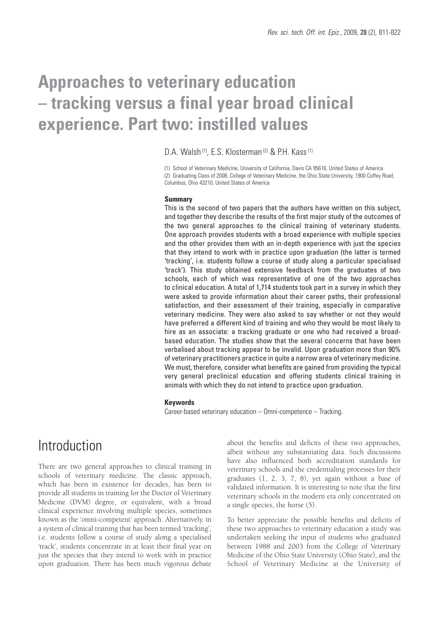# **Approaches to veterinary education – tracking versus a final year broad clinical experience. Part two: instilled values**

D.A. Walsh<sup>(1)</sup>, E.S. Klosterman<sup>(2)</sup> & P.H. Kass<sup>(1)</sup>

(1) School of Veterinary Medicine, University of California, Davis CA 95616, United States of America (2) Graduating Class of 2008, College of Veterinary Medicine, the Ohio State University, 1900 Coffey Road, Columbus, Ohio 43210, United States of America

#### **Summary**

This is the second of two papers that the authors have written on this subject, and together they describe the results of the first major study of the outcomes of the two general approaches to the clinical training of veterinary students. One approach provides students with a broad experience with multiple species and the other provides them with an in-depth experience with just the species that they intend to work with in practice upon graduation (the latter is termed 'tracking', i.e. students follow a course of study along a particular specialised 'track'). This study obtained extensive feedback from the graduates of two schools, each of which was representative of one of the two approaches to clinical education. A total of 1,714 students took part in a survey in which they were asked to provide information about their career paths, their professional satisfaction, and their assessment of their training, especially in comparative veterinary medicine. They were also asked to say whether or not they would have preferred a different kind of training and who they would be most likely to hire as an associate: a tracking graduate or one who had received a broadbased education. The studies show that the several concerns that have been verbalised about tracking appear to be invalid. Upon graduation more than 90% of veterinary practitioners practice in quite a narrow area of veterinary medicine. We must, therefore, consider what benefits are gained from providing the typical very general preclinical education and offering students clinical training in animals with which they do not intend to practice upon graduation.

#### **Keywords**

Career-based veterinary education – Omni-competence – Tracking.

# Introduction

There are two general approaches to clinical training in schools of veterinary medicine. The classic approach, which has been in existence for decades, has been to provide all students in training for the Doctor of Veterinary Medicine (DVM) degree, or equivalent, with a broad clinical experience involving multiple species, sometimes known as the 'omni-competent' approach. Alternatively, in a system of clinical training that has been termed 'tracking', i.e. students follow a course of study along a specialised 'track', students concentrate in at least their final year on just the species that they intend to work with in practice upon graduation. There has been much vigorous debate

about the benefits and deficits of these two approaches, albeit without any substantiating data. Such discussions have also influenced both accreditation standards for veterinary schools and the credentialing processes for their graduates (1, 2, 3, 7, 8), yet again without a base of validated information. It is interesting to note that the first veterinary schools in the modern era only concentrated on a single species, the horse (5).

To better appreciate the possible benefits and deficits of these two approaches to veterinary education a study was undertaken seeking the input of students who graduated between 1988 and 2003 from the College of Veterinary Medicine of the Ohio State University (Ohio State), and the School of Veterinary Medicine at the University of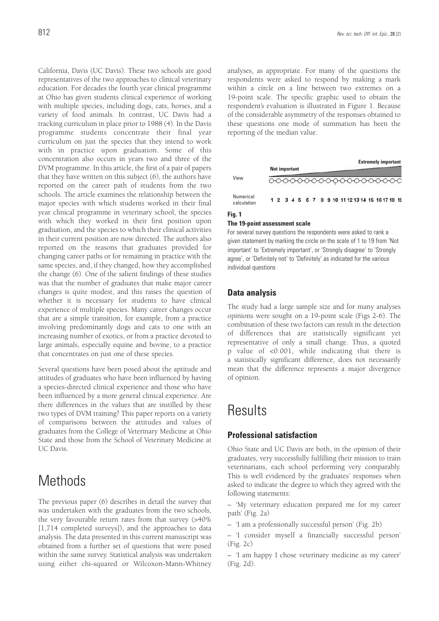California, Davis (UC Davis). These two schools are good representatives of the two approaches to clinical veterinary education. For decades the fourth year clinical programme at Ohio has given students clinical experience of working with multiple species, including dogs, cats, horses, and a variety of food animals. In contrast, UC Davis had a tracking curriculum in place prior to 1988 (4). In the Davis programme students concentrate their final year curriculum on just the species that they intend to work with in practice upon graduation. Some of this concentration also occurs in years two and three of the DVM programme. In this article, the first of a pair of papers that they have written on this subject (6), the authors have reported on the career path of students from the two schools. The article examines the relationship between the major species with which students worked in their final year clinical programme in veterinary school, the species with which they worked in their first position upon graduation, and the species to which their clinical activities in their current position are now directed. The authors also reported on the reasons that graduates provided for changing career paths or for remaining in practice with the same species, and, if they changed, how they accomplished the change (6). One of the salient findings of these studies was that the number of graduates that make major career changes is quite modest, and this raises the question of whether it is necessary for students to have clinical experience of multiple species. Many career changes occur that are a simple transition, for example, from a practice involving predominantly dogs and cats to one with an increasing number of exotics, or from a practice devoted to large animals, especially equine and bovine, to a practice that concentrates on just one of these species.

Several questions have been posed about the aptitude and attitudes of graduates who have been influenced by having a species-directed clinical experience and those who have been influenced by a more general clinical experience. Are there differences in the values that are instilled by these two types of DVM training? This paper reports on a variety of comparisons between the attitudes and values of graduates from the College of Veterinary Medicine at Ohio State and those from the School of Veterinary Medicine at UC Davis.

# **Methods**

The previous paper (6) describes in detail the survey that was undertaken with the graduates from the two schools, the very favourable return rates from that survey (>40% [1,714 completed surveys]), and the approaches to data analysis. The data presented in this current manuscript was obtained from a further set of questions that were posed within the same survey. Statistical analysis was undertaken using either chi-squared or Wilcoxon-Mann-Whitney analyses, as appropriate. For many of the questions the respondents were asked to respond by making a mark within a circle on a line between two extremes on a 19-point scale. The specific graphic used to obtain the respondent's evaluation is illustrated in Figure 1. Because of the considerable asymmetry of the responses obtained to these questions one mode of summation has been the reporting of the median value.

| View                     | <b>Extremely important</b><br><b>Not important</b> |  |  |  |  |  |  |  |  |  |  |  |                                                 |  |  |  |
|--------------------------|----------------------------------------------------|--|--|--|--|--|--|--|--|--|--|--|-------------------------------------------------|--|--|--|
|                          |                                                    |  |  |  |  |  |  |  |  |  |  |  | 0000000000000000000                             |  |  |  |
| Numerical<br>calculation |                                                    |  |  |  |  |  |  |  |  |  |  |  | 1 2 3 4 5 6 7 8 9 10 11 12 13 14 15 16 17 18 19 |  |  |  |

### **Fig. 1**

### **The 19-point assessment scale**

For several survey questions the respondents were asked to rank a given statement by marking the circle on the scale of 1 to 19 from 'Not important' to 'Extremely important', or 'Strongly disagree' to 'Strongly agree', or 'Definitely not' to 'Definitely' as indicated for the various individual questions

# **Data analysis**

The study had a large sample size and for many analyses opinions were sought on a 19-point scale (Figs 2-6). The combination of these two factors can result in the detection of differences that are statistically significant yet representative of only a small change. Thus, a quoted p value of <0.001, while indicating that there is a statistically significant difference, does not necessarily mean that the difference represents a major divergence of opinion.

# **Results**

# **Professional satisfaction**

Ohio State and UC Davis are both, in the opinion of their graduates, very successfully fulfilling their mission to train veterinarians, each school performing very comparably. This is well evidenced by the graduates' responses when asked to indicate the degree to which they agreed with the following statements:

– 'My veterinary education prepared me for my career path' (Fig. 2a)

– 'I am a professionally successful person' (Fig. 2b)

– 'I consider myself a financially successful person' (Fig. 2c)

– 'I am happy I chose veterinary medicine as my career' (Fig. 2d).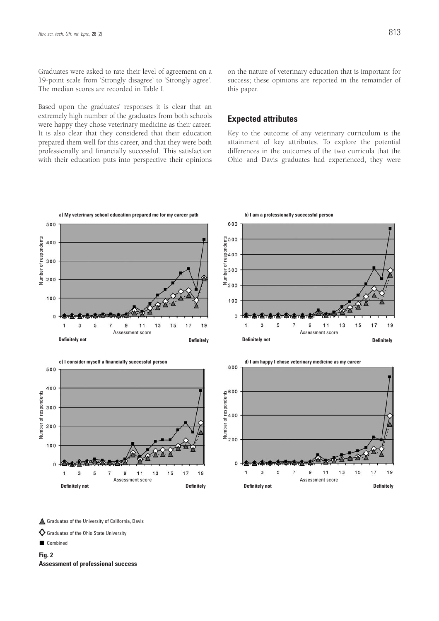Graduates were asked to rate their level of agreement on a 19-point scale from 'Strongly disagree' to 'Strongly agree'. The median scores are recorded in Table I.

Based upon the graduates' responses it is clear that an extremely high number of the graduates from both schools were happy they chose veterinary medicine as their career. It is also clear that they considered that their education prepared them well for this career, and that they were both professionally and financially successful. This satisfaction with their education puts into perspective their opinions

on the nature of veterinary education that is important for success; these opinions are reported in the remainder of this paper.

# **Expected attributes**

Key to the outcome of any veterinary curriculum is the attainment of key attributes. To explore the potential differences in the outcomes of the two curricula that the Ohio and Davis graduates had experienced, they were



▲ Graduates of the University of California, Davis

Graduates of the Ohio State University

Combined

**Fig. 2**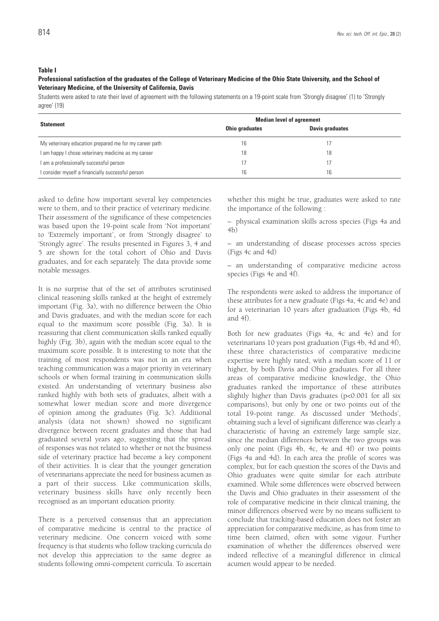# **Table I**

### **Professional satisfaction of the graduates of the College of Veterinary Medicine of the Ohio State University, and the School of Veterinary Medicine, of the University of California, Davis**

Students were asked to rate their level of agreement with the following statements on a 19-point scale from 'Strongly disagree' (1) to 'Strongly agree' (19)

| <b>Statement</b>                                       | <b>Median level of agreement</b> |                        |  |  |  |
|--------------------------------------------------------|----------------------------------|------------------------|--|--|--|
|                                                        | <b>Ohio graduates</b>            | <b>Davis graduates</b> |  |  |  |
| My veterinary education prepared me for my career path | 16                               |                        |  |  |  |
| I am happy I chose veterinary medicine as my career    | 18                               | 18                     |  |  |  |
| I am a professionally successful person                | 17                               |                        |  |  |  |
| I consider myself a financially successful person      | 16                               | 16                     |  |  |  |

asked to define how important several key competencies were to them, and to their practice of veterinary medicine. Their assessment of the significance of these competencies was based upon the 19-point scale from 'Not important' to 'Extremely important', or from 'Strongly disagree' to 'Strongly agree'. The results presented in Figures 3, 4 and 5 are shown for the total cohort of Ohio and Davis graduates, and for each separately. The data provide some notable messages.

It is no surprise that of the set of attributes scrutinised clinical reasoning skills ranked at the height of extremely important (Fig. 3a), with no difference between the Ohio and Davis graduates, and with the median score for each equal to the maximum score possible (Fig. 3a). It is reassuring that client communication skills ranked equally highly (Fig. 3b), again with the median score equal to the maximum score possible. It is interesting to note that the training of most respondents was not in an era when teaching communication was a major priority in veterinary schools or when formal training in communication skills existed. An understanding of veterinary business also ranked highly with both sets of graduates, albeit with a somewhat lower median score and more divergence of opinion among the graduates (Fig. 3c). Additional analysis (data not shown) showed no significant divergence between recent graduates and those that had graduated several years ago, suggesting that the spread of responses was not related to whether or not the business side of veterinary practice had become a key component of their activities. It is clear that the younger generation of veterinarians appreciate the need for business acumen as a part of their success. Like communication skills, veterinary business skills have only recently been recognised as an important education priority.

There is a perceived consensus that an appreciation of comparative medicine is central to the practice of veterinary medicine. One concern voiced with some frequency is that students who follow tracking curricula do not develop this appreciation to the same degree as students following omni-competent curricula. To ascertain

whether this might be true, graduates were asked to rate the importance of the following :

– physical examination skills across species (Figs 4a and 4b)

– an understanding of disease processes across species (Figs 4c and 4d)

– an understanding of comparative medicine across species (Figs 4e and 4f).

The respondents were asked to address the importance of these attributes for a new graduate (Figs 4a, 4c and 4e) and for a veterinarian 10 years after graduation (Figs 4b, 4d and 4f).

Both for new graduates (Figs 4a, 4c and 4e) and for veterinarians 10 years post graduation (Figs 4b, 4d and 4f), these three characteristics of comparative medicine expertise were highly rated, with a median score of 11 or higher, by both Davis and Ohio graduates. For all three areas of comparative medicine knowledge, the Ohio graduates ranked the importance of these attributes slightly higher than Davis graduates (p<0.001 for all six comparisons), but only by one or two points out of the total 19-point range. As discussed under 'Methods', obtaining such a level of significant difference was clearly a characteristic of having an extremely large sample size, since the median differences between the two groups was only one point (Figs 4b, 4c, 4e and 4f) or two points (Figs 4a and 4d). In each area the profile of scores was complex, but for each question the scores of the Davis and Ohio graduates were quite similar for each attribute examined. While some differences were observed between the Davis and Ohio graduates in their assessment of the role of comparative medicine in their clinical training, the minor differences observed were by no means sufficient to conclude that tracking-based education does not foster an appreciation for comparative medicine, as has from time to time been claimed, often with some vigour. Further examination of whether the differences observed were indeed reflective of a meaningful difference in clinical acumen would appear to be needed.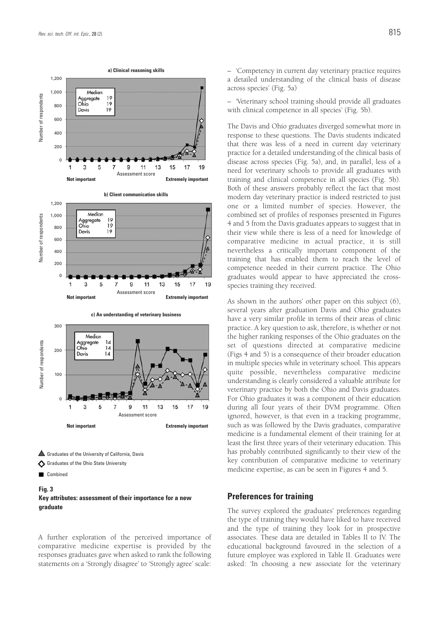

- Graduates of the University of California, Davis
- Graduates of the Ohio State University
- Combined

# **Fig. 3 Key attributes: assessment of their importance for a new** graduate

A further exploration of the perceived importance of comparative medicine expertise is provided by the responses graduates gave when asked to rank the following statements on a 'Strongly disagree' to 'Strongly agree' scale:

– 'Veterinary school training should provide all graduates with clinical competence in all species' (Fig. 5b).

The Davis and Ohio graduates diverged somewhat more in response to these questions. The Davis students indicated that there was less of a need in current day veterinary practice for a detailed understanding of the clinical basis of disease across species (Fig. 5a), and, in parallel, less of a need for veterinary schools to provide all graduates with training and clinical competence in all species (Fig. 5b). Both of these answers probably reflect the fact that most modern day veterinary practice is indeed restricted to just one or a limited number of species. However, the combined set of profiles of responses presented in Figures 4 and 5 from the Davis graduates appears to suggest that in their view while there is less of a need for knowledge of comparative medicine in actual practice, it is still nevertheless a critically important component of the training that has enabled them to reach the level of competence needed in their current practice. The Ohio graduates would appear to have appreciated the crossspecies training they received.

As shown in the authors' other paper on this subject (6), several years after graduation Davis and Ohio graduates have a very similar profile in terms of their areas of clinic practice. A key question to ask, therefore, is whether or not the higher ranking responses of the Ohio graduates on the set of questions directed at comparative medicine (Figs 4 and 5) is a consequence of their broader education in multiple species while in veterinary school. This appears quite possible, nevertheless comparative medicine understanding is clearly considered a valuable attribute for veterinary practice by both the Ohio and Davis graduates. For Ohio graduates it was a component of their education during all four years of their DVM programme. Often ignored, however, is that even in a tracking programme, such as was followed by the Davis graduates, comparative medicine is a fundamental element of their training for at least the first three years of their veterinary education. This has probably contributed significantly to their view of the key contribution of comparative medicine to veterinary medicine expertise, as can be seen in Figures 4 and 5.

# **Preferences for training**

The survey explored the graduates' preferences regarding the type of training they would have liked to have received and the type of training they look for in prospective associates. These data are detailed in Tables II to IV. The educational background favoured in the selection of a future employee was explored in Table II. Graduates were asked: 'In choosing a new associate for the veterinary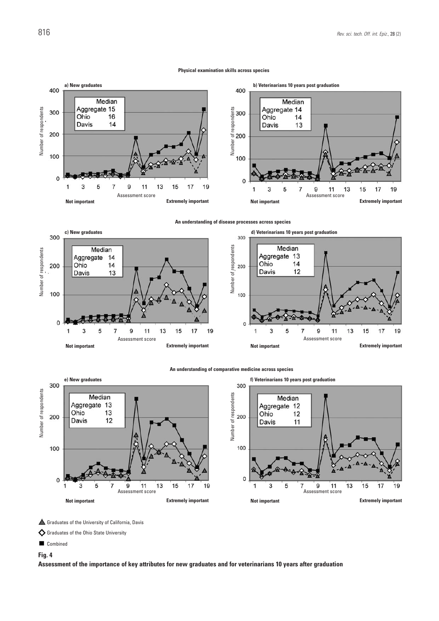#### **Physical examination skills across species**







#### **An understanding of comparative medicine across species**



Graduates of the University of California, Davis

Graduates of the Ohio State University

**Combined** 

**Fig. 4**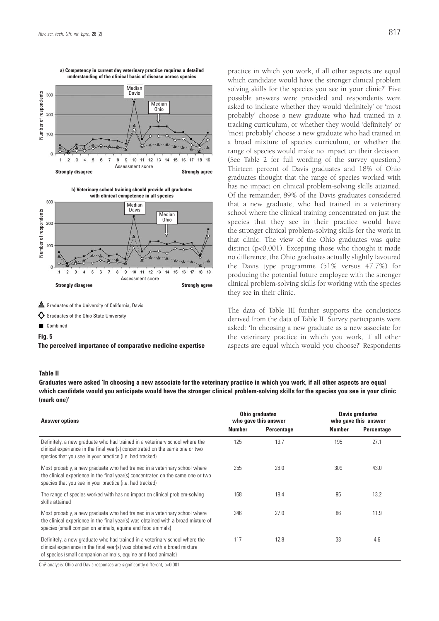

**a) Competency in current day veterinary practice requires a detailed understanding of the clinical basis of disease across species**



**Fig. 5**

practice in which you work, if all other aspects are equal which candidate would have the stronger clinical problem solving skills for the species you see in your clinic?' Five possible answers were provided and respondents were asked to indicate whether they would 'definitely' or 'most probably' choose a new graduate who had trained in a tracking curriculum, or whether they would 'definitely' or 'most probably' choose a new graduate who had trained in a broad mixture of species curriculum, or whether the range of species would make no impact on their decision. (See Table 2 for full wording of the survey question.) Thirteen percent of Davis graduates and 18% of Ohio graduates thought that the range of species worked with has no impact on clinical problem-solving skills attained. Of the remainder, 89% of the Davis graduates considered that a new graduate, who had trained in a veterinary school where the clinical training concentrated on just the species that they see in their practice would have the stronger clinical problem-solving skills for the work in that clinic. The view of the Ohio graduates was quite distinct (p<0.001). Excepting those who thought it made no difference, the Ohio graduates actually slightly favoured the Davis type programme (51% versus 47.7%) for producing the potential future employee with the stronger clinical problem-solving skills for working with the species they see in their clinic.

#### **Table II**

| Number of respondents | Davis<br>300<br>Median<br><b>Ohio</b><br>200<br>100<br>10<br>13<br>11<br>12<br>16<br>Assessment score                                                                                                                                                                                                                             |        | possible answers were provided and respondents were<br>asked to indicate whether they would 'definitely' or 'most<br>probably' choose a new graduate who had trained in a<br>tracking curriculum, or whether they would 'definitely' or<br>'most probably' choose a new graduate who had trained in<br>a broad mixture of species curriculum, or whether the<br>range of species would make no impact on their decision.<br>(See Table 2 for full wording of the survey question.)<br>Thirteen percent of Davis graduates and 18% of Ohio |        |                                                                     |
|-----------------------|-----------------------------------------------------------------------------------------------------------------------------------------------------------------------------------------------------------------------------------------------------------------------------------------------------------------------------------|--------|-------------------------------------------------------------------------------------------------------------------------------------------------------------------------------------------------------------------------------------------------------------------------------------------------------------------------------------------------------------------------------------------------------------------------------------------------------------------------------------------------------------------------------------------|--------|---------------------------------------------------------------------|
| Number of respondents | <b>Strongly disagree</b><br><b>Strongly agree</b><br>b) Veterinary school training should provide all graduates<br>with clinical competence in all species<br>300<br>Median<br>Davis<br>Median<br><b>Ohio</b><br>200                                                                                                              |        | graduates thought that the range of species worked with<br>has no impact on clinical problem-solving skills attained.<br>Of the remainder, 89% of the Davis graduates considered<br>that a new graduate, who had trained in a veterinary<br>school where the clinical training concentrated on just the<br>species that they see in their practice would have<br>the stronger clinical problem-solving skills for the work in<br>that clinic. The view of the Ohio graduates was quite                                                    |        |                                                                     |
|                       | 100<br>16<br>18<br>Assessment score<br><b>Strongly disagree</b><br><b>Strongly agree</b>                                                                                                                                                                                                                                          |        | distinct (p<0.001). Excepting those who thought it made<br>no difference, the Ohio graduates actually slightly favoured<br>the Davis type programme (51% versus 47.7%) for<br>producing the potential future employee with the stronger<br>clinical problem-solving skills for working with the species<br>they see in their clinic.                                                                                                                                                                                                      |        |                                                                     |
|                       | Graduates of the University of California, Davis                                                                                                                                                                                                                                                                                  |        |                                                                                                                                                                                                                                                                                                                                                                                                                                                                                                                                           |        |                                                                     |
|                       | $\bigcirc$ Graduates of the Ohio State University                                                                                                                                                                                                                                                                                 |        | The data of Table III further supports the conclusions<br>derived from the data of Table II. Survey participants were                                                                                                                                                                                                                                                                                                                                                                                                                     |        |                                                                     |
|                       | Combined                                                                                                                                                                                                                                                                                                                          |        | asked: 'In choosing a new graduate as a new associate for                                                                                                                                                                                                                                                                                                                                                                                                                                                                                 |        |                                                                     |
|                       | Fig. 5<br>The perceived importance of comparative medicine expertise                                                                                                                                                                                                                                                              |        | the veterinary practice in which you work, if all other<br>aspects are equal which would you choose?' Respondents                                                                                                                                                                                                                                                                                                                                                                                                                         |        |                                                                     |
|                       | <b>Table II</b><br>Graduates were asked 'In choosing a new associate for the veterinary practice in which you work, if all other aspects are equal<br>which candidate would you anticipate would have the stronger clinical problem-solving skills for the species you see in your clinic<br>(mark one)'<br><b>Answer options</b> | Number | <b>Ohio graduates</b><br>who gave this answer<br><b>Percentage</b>                                                                                                                                                                                                                                                                                                                                                                                                                                                                        | Number | <b>Davis graduates</b><br>who gave this answer<br><b>Percentage</b> |
|                       | Definitely, a new graduate who had trained in a veterinary school where the<br>clinical experience in the final year(s) concentrated on the same one or two<br>species that you see in your practice (i.e. had tracked)                                                                                                           | 125    | 13.7                                                                                                                                                                                                                                                                                                                                                                                                                                                                                                                                      | 195    | 27.1                                                                |
|                       | Most probably, a new graduate who had trained in a veterinary school where<br>the clinical experience in the final year(s) concentrated on the same one or two<br>species that you see in your practice (i.e. had tracked)                                                                                                        | 255    | 28.0                                                                                                                                                                                                                                                                                                                                                                                                                                                                                                                                      | 309    | 43.0                                                                |
|                       | The range of species worked with has no impact on clinical problem-solving<br>skills attained                                                                                                                                                                                                                                     | 168    | 18.4                                                                                                                                                                                                                                                                                                                                                                                                                                                                                                                                      | 95     | 13.2                                                                |
|                       | Most probably, a new graduate who had trained in a veterinary school where<br>the clinical experience in the final year(s) was obtained with a broad mixture of<br>species (small companion animals, equine and food animals)                                                                                                     | 246    | 27.0                                                                                                                                                                                                                                                                                                                                                                                                                                                                                                                                      | 86     | 11.9                                                                |
|                       | Definitely, a new graduate who had trained in a veterinary school where the                                                                                                                                                                                                                                                       | 117    | 12.8                                                                                                                                                                                                                                                                                                                                                                                                                                                                                                                                      |        | 4.6                                                                 |
|                       | clinical experience in the final year(s) was obtained with a broad mixture<br>of species (small companion animals, equine and food animals)                                                                                                                                                                                       |        |                                                                                                                                                                                                                                                                                                                                                                                                                                                                                                                                           | 33     |                                                                     |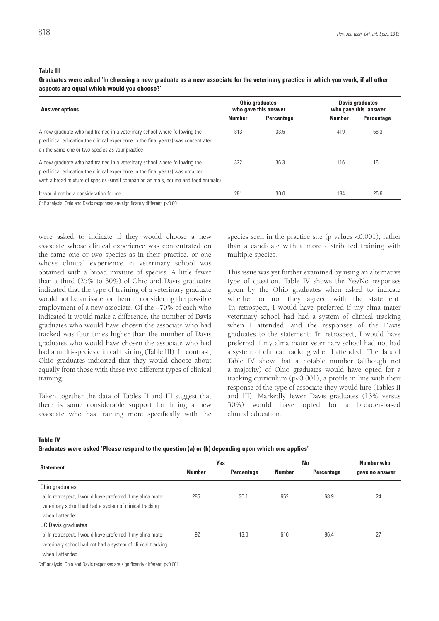### **Table III**

**Graduates were asked 'In choosing a new graduate as a new associate for the veterinary practice in which you work, if all other aspects are equal which would you choose?'**

| <b>Answer options</b>                                                                                                                                                                                                                              |               | <b>Ohio graduates</b><br>who gave this answer | <b>Davis graduates</b><br>who gave this answer |            |  |
|----------------------------------------------------------------------------------------------------------------------------------------------------------------------------------------------------------------------------------------------------|---------------|-----------------------------------------------|------------------------------------------------|------------|--|
|                                                                                                                                                                                                                                                    | <b>Number</b> | Percentage                                    | <b>Number</b>                                  | Percentage |  |
| A new graduate who had trained in a veterinary school where following the<br>preclinical education the clinical experience in the final year(s) was concentrated<br>on the same one or two species as your practice                                | 313           | 33.5                                          | 419                                            | 58.3       |  |
| A new graduate who had trained in a veterinary school where following the<br>preclinical education the clinical experience in the final year(s) was obtained<br>with a broad mixture of species (small companion animals, equine and food animals) | 322           | 36.3                                          | 116                                            | 16.1       |  |
| It would not be a consideration for me                                                                                                                                                                                                             | 281           | 30.0                                          | 184                                            | 25.6       |  |

were asked to indicate if they would choose a new associate whose clinical experience was concentrated on the same one or two species as in their practice, or one whose clinical experience in veterinary school was obtained with a broad mixture of species. A little fewer than a third (25% to 30%) of Ohio and Davis graduates indicated that the type of training of a veterinary graduate would not be an issue for them in considering the possible employment of a new associate. Of the ~70% of each who indicated it would make a difference, the number of Davis graduates who would have chosen the associate who had tracked was four times higher than the number of Davis graduates who would have chosen the associate who had had a multi-species clinical training (Table III). In contrast, Ohio graduates indicated that they would choose about equally from those with these two different types of clinical training.

Taken together the data of Tables II and III suggest that there is some considerable support for hiring a new associate who has training more specifically with the species seen in the practice site (p values <0.001), rather than a candidate with a more distributed training with multiple species.

This issue was yet further examined by using an alternative type of question. Table IV shows the Yes/No responses given by the Ohio graduates when asked to indicate whether or not they agreed with the statement: 'In retrospect, I would have preferred if my alma mater veterinary school had had a system of clinical tracking when I attended' and the responses of the Davis graduates to the statement: 'In retrospect, I would have preferred if my alma mater veterinary school had not had a system of clinical tracking when I attended'. The data of Table IV show that a notable number (although not a majority) of Ohio graduates would have opted for a tracking curriculum (p<0.001), a profile in line with their response of the type of associate they would hire (Tables II and III). Markedly fewer Davis graduates (13% versus 30%) would have opted for a broader-based clinical education.

**Table IV**

| Graduates were asked 'Please respond to the question (a) or (b) depending upon which one applies' |  |  |  |
|---------------------------------------------------------------------------------------------------|--|--|--|
|                                                                                                   |  |  |  |

|                                                             |               | Yes               | <b>No</b>     | Number who        |                |
|-------------------------------------------------------------|---------------|-------------------|---------------|-------------------|----------------|
| <b>Statement</b>                                            | <b>Number</b> | <b>Percentage</b> | <b>Number</b> | <b>Percentage</b> | gave no answer |
| Ohio graduates                                              |               |                   |               |                   |                |
| a) In retrospect, I would have preferred if my alma mater   | 285           | 30.1              | 652           | 68.9              | 24             |
| veterinary school had had a system of clinical tracking     |               |                   |               |                   |                |
| when I attended                                             |               |                   |               |                   |                |
| <b>UC Davis graduates</b>                                   |               |                   |               |                   |                |
| b) In retrospect, I would have preferred if my alma mater   | 92            | 13.0              | 610           | 86.4              | 27             |
| veterinary school had not had a system of clinical tracking |               |                   |               |                   |                |
| when I attended                                             |               |                   |               |                   |                |

Chi2 analysis: Ohio and Davis responses are significantly different, p<0.001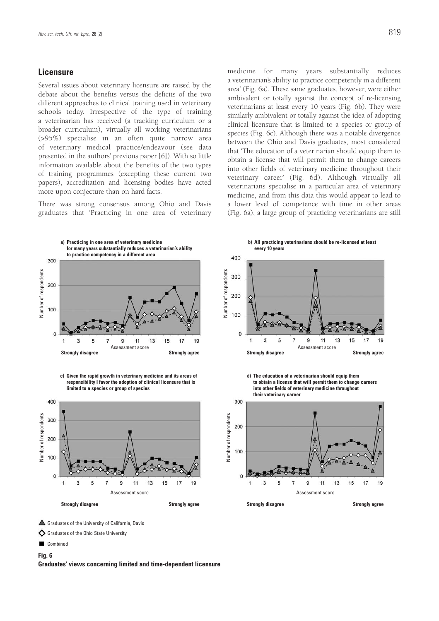## **Licensure**

Several issues about veterinary licensure are raised by the debate about the benefits versus the deficits of the two different approaches to clinical training used in veterinary schools today. Irrespective of the type of training a veterinarian has received (a tracking curriculum or a broader curriculum), virtually all working veterinarians (>95%) specialise in an often quite narrow area of veterinary medical practice/endeavour (see data presented in the authors' previous paper [6]). With so little information available about the benefits of the two types of training programmes (excepting these current two papers), accreditation and licensing bodies have acted more upon conjecture than on hard facts.

There was strong consensus among Ohio and Davis graduates that 'Practicing in one area of veterinary medicine for many years substantially reduces a veterinarian's ability to practice competently in a different area' (Fig. 6a). These same graduates, however, were either ambivalent or totally against the concept of re-licensing veterinarians at least every 10 years (Fig. 6b). They were similarly ambivalent or totally against the idea of adopting clinical licensure that is limited to a species or group of species (Fig. 6c). Although there was a notable divergence between the Ohio and Davis graduates, most considered that 'The education of a veterinarian should equip them to obtain a license that will permit them to change careers into other fields of veterinary medicine throughout their veterinary career' (Fig. 6d). Although virtually all veterinarians specialise in a particular area of veterinary medicine, and from this data this would appear to lead to a lower level of competence with time in other areas (Fig. 6a), a large group of practicing veterinarians are still



**c) Given the rapid growth in veterinary medicine and its areas of responsibility I favor the adoption of clinical licensure that is limited to a species or group of species**



**b) All practicing veterinarians should be re-licensed at least every 10 years**



**d) The education of a veterinarian should equip them to obtain a license that will permit them to change careers into other fields of veterinary medicine throughout their veterinary career**



Graduates of the University of California, Davis

Graduates of the Ohio State University

Combined

**Fig. 6**

**Graduates' views concerning limited and time-dependent licensure**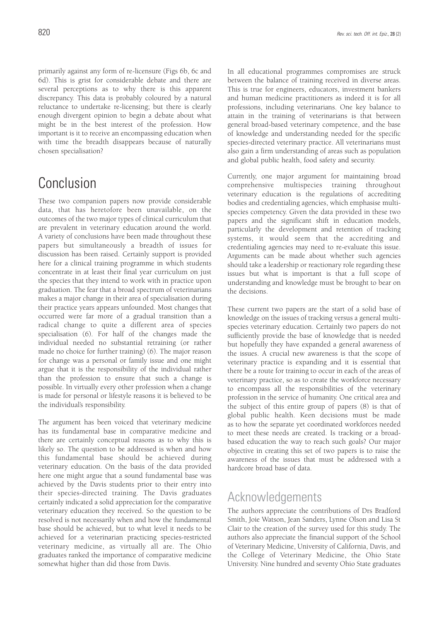primarily against any form of re-licensure (Figs 6b, 6c and 6d). This is grist for considerable debate and there are several perceptions as to why there is this apparent discrepancy. This data is probably coloured by a natural reluctance to undertake re-licensing; but there is clearly enough divergent opinion to begin a debate about what might be in the best interest of the profession. How important is it to receive an encompassing education when with time the breadth disappears because of naturally chosen specialisation?

# Conclusion

These two companion papers now provide considerable data, that has heretofore been unavailable, on the outcomes of the two major types of clinical curriculum that are prevalent in veterinary education around the world. A variety of conclusions have been made throughout these papers but simultaneously a breadth of issues for discussion has been raised. Certainly support is provided here for a clinical training programme in which students concentrate in at least their final year curriculum on just the species that they intend to work with in practice upon graduation. The fear that a broad spectrum of veterinarians makes a major change in their area of specialisation during their practice years appears unfounded. Most changes that occurred were far more of a gradual transition than a radical change to quite a different area of species specialisation (6). For half of the changes made the individual needed no substantial retraining (or rather made no choice for further training) (6). The major reason for change was a personal or family issue and one might argue that it is the responsibility of the individual rather than the profession to ensure that such a change is possible. In virtually every other profession when a change is made for personal or lifestyle reasons it is believed to be the individual's responsibility.

The argument has been voiced that veterinary medicine has its fundamental base in comparative medicine and there are certainly conceptual reasons as to why this is likely so. The question to be addressed is when and how this fundamental base should be achieved during veterinary education. On the basis of the data provided here one might argue that a sound fundamental base was achieved by the Davis students prior to their entry into their species-directed training. The Davis graduates certainly indicated a solid appreciation for the comparative veterinary education they received. So the question to be resolved is not necessarily when and how the fundamental base should be achieved, but to what level it needs to be achieved for a veterinarian practicing species-restricted veterinary medicine, as virtually all are. The Ohio graduates ranked the importance of comparative medicine somewhat higher than did those from Davis.

In all educational programmes compromises are struck between the balance of training received in diverse areas. This is true for engineers, educators, investment bankers and human medicine practitioners as indeed it is for all professions, including veterinarians. One key balance to attain in the training of veterinarians is that between general broad-based veterinary competence, and the base of knowledge and understanding needed for the specific species-directed veterinary practice. All veterinarians must also gain a firm understanding of areas such as population and global public health, food safety and security.

Currently, one major argument for maintaining broad comprehensive multispecies training throughout veterinary education is the regulations of accrediting bodies and credentialing agencies, which emphasise multispecies competency. Given the data provided in these two papers and the significant shift in education models, particularly the development and retention of tracking systems, it would seem that the accrediting and credentialing agencies may need to re-evaluate this issue. Arguments can be made about whether such agencies should take a leadership or reactionary role regarding these issues but what is important is that a full scope of understanding and knowledge must be brought to bear on the decisions.

These current two papers are the start of a solid base of knowledge on the issues of tracking versus a general multispecies veterinary education. Certainly two papers do not sufficiently provide the base of knowledge that is needed but hopefully they have expanded a general awareness of the issues. A crucial new awareness is that the scope of veterinary practice is expanding and it is essential that there be a route for training to occur in each of the areas of veterinary practice, so as to create the workforce necessary to encompass all the responsibilities of the veterinary profession in the service of humanity. One critical area and the subject of this entire group of papers (8) is that of global public health. Keen decisions must be made as to how the separate yet coordinated workforces needed to meet these needs are created. Is tracking or a broadbased education the way to reach such goals? Our major objective in creating this set of two papers is to raise the awareness of the issues that must be addressed with a hardcore broad base of data.

# Acknowledgements

The authors appreciate the contributions of Drs Bradford Smith, Joie Watson, Jean Sanders, Lynne Olson and Lisa St Clair to the creation of the survey used for this study. The authors also appreciate the financial support of the School of Veterinary Medicine, University of California, Davis, and the College of Veterinary Medicine, the Ohio State University. Nine hundred and seventy Ohio State graduates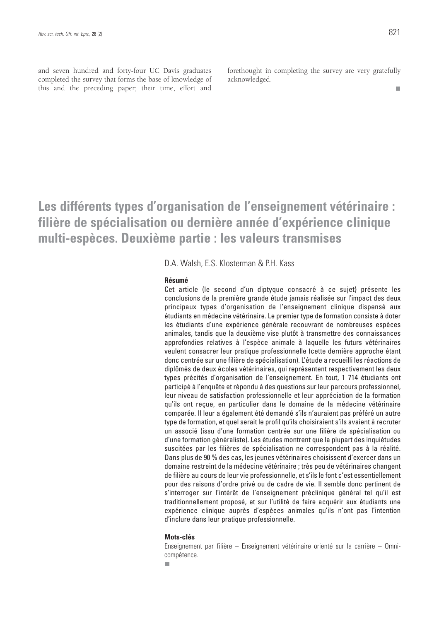and seven hundred and forty-four UC Davis graduates completed the survey that forms the base of knowledge of this and the preceding paper; their time, effort and

forethought in completing the survey are very gratefully acknowledged.

# **Les différents types d'organisation de l'enseignement vétérinaire : filière de spécialisation ou dernière année d'expérience clinique multi-espèces. Deuxième partie : les valeurs transmises**

D.A. Walsh, E.S. Klosterman & P.H. Kass

# **Résumé**

Cet article (le second d'un diptyque consacré à ce sujet) présente les conclusions de la première grande étude jamais réalisée sur l'impact des deux principaux types d'organisation de l'enseignement clinique dispensé aux étudiants en médecine vétérinaire. Le premier type de formation consiste à doter les étudiants d'une expérience générale recouvrant de nombreuses espèces animales, tandis que la deuxième vise plutôt à transmettre des connaissances approfondies relatives à l'espèce animale à laquelle les futurs vétérinaires veulent consacrer leur pratique professionnelle (cette dernière approche étant donc centrée sur une filière de spécialisation). L'étude a recueilli les réactions de diplômés de deux écoles vétérinaires, qui représentent respectivement les deux types précités d'organisation de l'enseignement. En tout, 1 714 étudiants ont participé à l'enquête et répondu à des questions sur leur parcours professionnel, leur niveau de satisfaction professionnelle et leur appréciation de la formation qu'ils ont reçue, en particulier dans le domaine de la médecine vétérinaire comparée. Il leur a également été demandé s'ils n'auraient pas préféré un autre type de formation, et quel serait le profil qu'ils choisiraient s'ils avaient à recruter un associé (issu d'une formation centrée sur une filière de spécialisation ou d'une formation généraliste). Les études montrent que la plupart des inquiétudes suscitées par les filières de spécialisation ne correspondent pas à la réalité. Dans plus de 90 % des cas, les jeunes vétérinaires choisissent d'exercer dans un domaine restreint de la médecine vétérinaire ; très peu de vétérinaires changent de filière au cours de leur vie professionnelle, et s'ils le font c'est essentiellement pour des raisons d'ordre privé ou de cadre de vie. Il semble donc pertinent de s'interroger sur l'intérêt de l'enseignement préclinique général tel qu'il est traditionnellement proposé, et sur l'utilité de faire acquérir aux étudiants une expérience clinique auprès d'espèces animales qu'ils n'ont pas l'intention d'inclure dans leur pratique professionnelle.

## **Mots-clés**

Enseignement par filière – Enseignement vétérinaire orienté sur la carrière – Omnicompétence.

۰

 $\mathbf{r}$